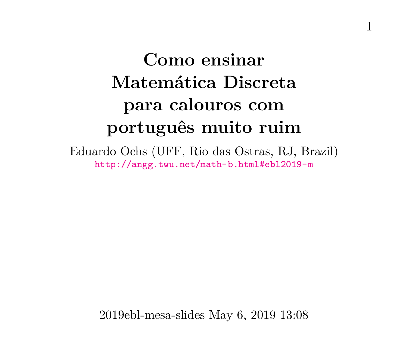# **Como ensinar Matemática Discreta para calouros com português muito ruim**

Eduardo Ochs (UFF, Rio das Ostras, RJ, Brazil) <http://angg.twu.net/math-b.html#ebl2019-m>

2019ebl-mesa-slides May 6, 2019 13:08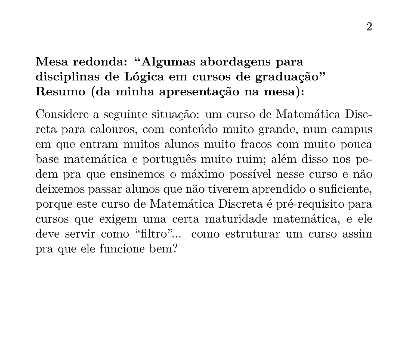# **Mesa redonda: "Algumas abordagens para disciplinas de Lógica em cursos de graduação" Resumo (da minha apresentação na mesa):**

Considere a seguinte situação: um curso de Matemática Discreta para calouros, com conteúdo muito grande, num campus em que entram muitos alunos muito fracos com muito pouca base matemática e português muito ruim; além disso nos pedem pra que ensinemos o máximo possível nesse curso e não deixemos passar alunos que não tiverem aprendido o suficiente, porque este curso de Matemática Discreta é pré-requisito para cursos que exigem uma certa maturidade matemática, e ele deve servir como "filtro"... como estruturar um curso assim pra que ele funcione bem?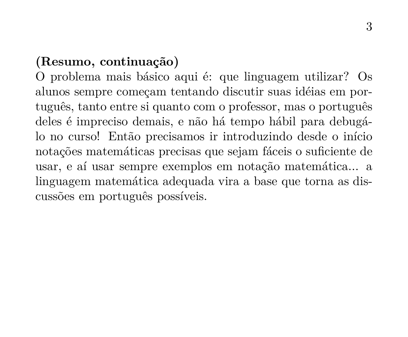# **(Resumo, continuação)**

O problema mais básico aqui é: que linguagem utilizar? Os alunos sempre começam tentando discutir suas idéias em português, tanto entre si quanto com o professor, mas o português deles é impreciso demais, e não há tempo hábil para debugálo no curso! Então precisamos ir introduzindo desde o início notações matemáticas precisas que sejam fáceis o suficiente de usar, e aí usar sempre exemplos em notação matemática... a linguagem matemática adequada vira a base que torna as discussões em português possíveis.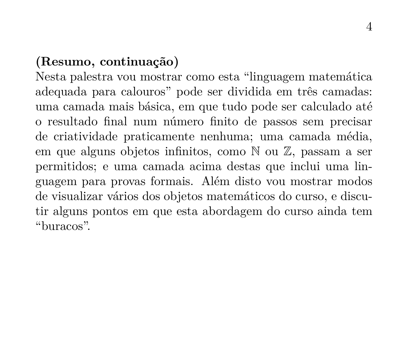## **(Resumo, continuação)**

Nesta palestra vou mostrar como esta "linguagem matemática adequada para calouros" pode ser dividida em três camadas: uma camada mais básica, em que tudo pode ser calculado até o resultado final num número finito de passos sem precisar de criatividade praticamente nenhuma; uma camada média, em que alguns objetos infinitos, como N ou Z, passam a ser permitidos; e uma camada acima destas que inclui uma linguagem para provas formais. Além disto vou mostrar modos de visualizar vários dos objetos matemáticos do curso, e discutir alguns pontos em que esta abordagem do curso ainda tem "buracos".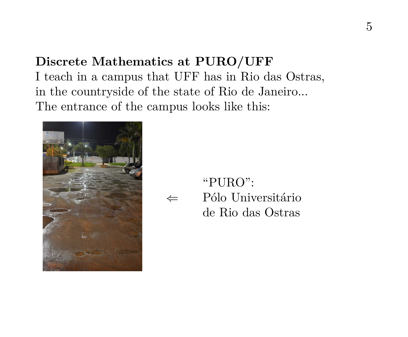# **Discrete Mathematics at PURO/UFF** I teach in a campus that UFF has in Rio das Ostras, in the countryside of the state of Rio de Janeiro... The entrance of the campus looks like this:



⇐ "PURO": Pólo Universitário de Rio das Ostras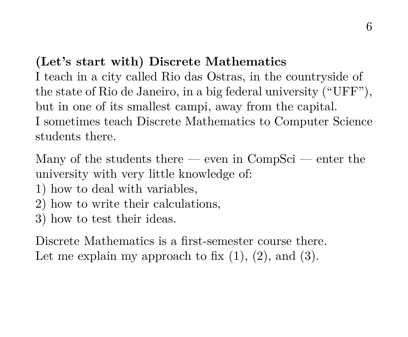# **(Let's start with) Discrete Mathematics**

I teach in a city called Rio das Ostras, in the countryside of the state of Rio de Janeiro, in a big federal university ("UFF"), but in one of its smallest campi, away from the capital. I sometimes teach Discrete Mathematics to Computer Science students there.

Many of the students there — even in  $CompSci$  — enter the university with very little knowledge of:

- 1) how to deal with variables,
- 2) how to write their calculations,
- 3) how to test their ideas.

Discrete Mathematics is a first-semester course there. Let me explain my approach to fix  $(1)$ ,  $(2)$ , and  $(3)$ .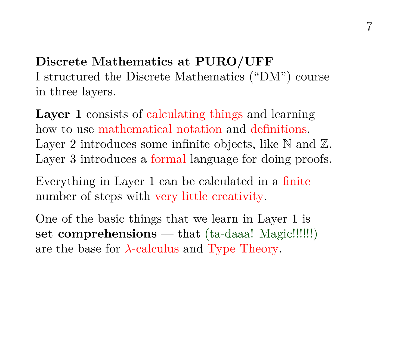**Discrete Mathematics at PURO/UFF** I structured the Discrete Mathematics ("DM") course in three layers.

**Layer 1** consists of calculating things and learning how to use mathematical notation and definitions. Layer 2 introduces some infinite objects, like  $\mathbb N$  and  $\mathbb Z$ . Layer 3 introduces a formal language for doing proofs.

Everything in Layer 1 can be calculated in a finite number of steps with very little creativity.

One of the basic things that we learn in Layer 1 is **set comprehensions** — that (ta-daaa! Magic!!!!!!) are the base for  $\lambda$ -calculus and Type Theory.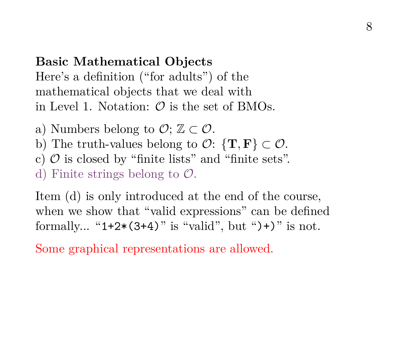#### **Basic Mathematical Objects**

Here's a definition ("for adults") of the mathematical objects that we deal with in Level 1. Notation:  $\mathcal{O}$  is the set of BMOs.

- a) Numbers belong to  $\mathcal{O}$ :  $\mathbb{Z} \subset \mathcal{O}$ .
- b) The truth-values belong to  $\mathcal{O}$ :  $\{T, F\} \subset \mathcal{O}$ .
- c)  $\mathcal O$  is closed by "finite lists" and "finite sets".

d) Finite strings belong to  $\mathcal{O}$ .

Item (d) is only introduced at the end of the course, when we show that "valid expressions" can be defined formally... " $1+2*(3+4)$ " is "valid", but " $)+$ " is not.

Some graphical representations are allowed.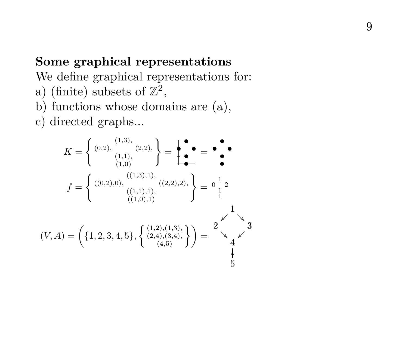## **Some graphical representations**

We define graphical representations for:

- a) (finite) subsets of  $\mathbb{Z}^2$ ,
- b) functions whose domains are (a),
- c) directed graphs...

$$
K = \left\{ (0, 2), \atop (1, 1), (1, 2), (1, 3), (2, 2), (2, 2), (2, 2), (2, 2), (2, 2), (2, 2), (2, 2), (2, 2), (2, 2), (2, 2), (2, 2), (2, 2), (2, 2), (2, 2), (2, 2), (2, 2), (2, 2), (2, 2), (2, 2), (2, 2), (2, 2), (2, 2), (2, 2), (2, 2), (2, 2), (2, 2), (2, 2), (2, 2), (2, 2), (2, 2), (2, 2), (2, 2), (2, 2), (2, 2), (2, 2), (2, 2), (2, 2), (2, 2), (2, 2), (2, 2), (2, 2), (2, 2), (2, 2), (2, 2), (2, 2), (2, 2), (2, 2), (2, 2), (2, 2), (2, 2), (2, 2), (2, 2), (2, 2), (2, 2), (2, 2), (2, 2), (2, 2), (2, 2), (2, 2), (2, 2), (2, 2), (2, 2), (2, 2), (2, 2), (2, 2), (2, 2), (2, 2), (2, 2), (2, 2), (2, 2), (2, 2), (2, 2), (2, 2), (2, 2), (2, 2), (2, 2), (2, 2), (2, 2), (2, 2), (2, 2), (2, 2), (2, 2), (2, 2), (2, 2), (2, 2), (2, 2), (2, 2), (2, 2), (2, 2), (2, 2), (2, 2), (2, 2), (2, 2), (2, 2), (2, 2), (2, 2), (2, 2), (2, 2), (2, 2), (2, 2), (2, 2), (2, 2), (2, 2), (2, 2), (2, 2), (2, 2), (2, 2), (2, 2), (2, 2), (2, 2), (2, 2), (2, 2), (2, 2), (2, 2), (2, 2), (2, 2), (2, 2), (2, 2), (2, 2), (2, 2), (2, 2),
$$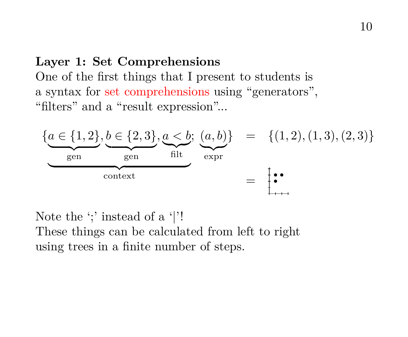#### **Layer 1: Set Comprehensions**

One of the first things that I present to students is a syntax for set comprehensions using "generators", "filters" and a "result expression"...



Note the ';' instead of a '|'! These things can be calculated from left to right using trees in a finite number of steps.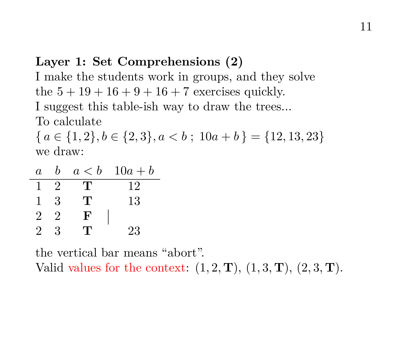# **Layer 1: Set Comprehensions (2)**

I make the students work in groups, and they solve the  $5 + 19 + 16 + 9 + 16 + 7$  exercises quickly. I suggest this table-ish way to draw the trees... To calculate

 ${ a \in \{1,2\}, b \in \{2,3\}, a < b ; 10a + b } = \{12,13,23\}$ we draw:

| $\boldsymbol{a}$ | h              |     | $a < b$ 10 $a + b$ |
|------------------|----------------|-----|--------------------|
|                  | $\mathfrak{D}$ | т   | 12                 |
|                  | 3              | Τ.  | 13                 |
| 2                | $\mathfrak{D}$ | F   |                    |
| 2                | 3              | י ו | 23                 |

the vertical bar means "abort". Valid values for the context:  $(1, 2, \mathbf{T})$ ,  $(1, 3, \mathbf{T})$ ,  $(2, 3, \mathbf{T})$ .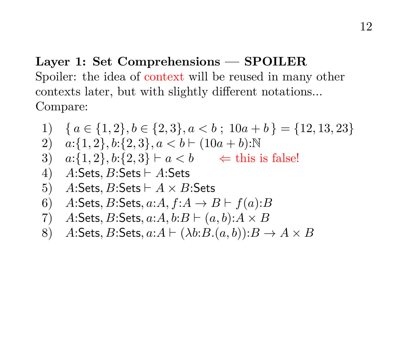# **Layer 1: Set Comprehensions — SPOILER** Spoiler: the idea of context will be reused in many other contexts later, but with slightly different notations... Compare:

1) 
$$
\{a \in \{1,2\}, b \in \{2,3\}, a < b; 10a + b\} = \{12, 13, 23\}
$$
  
\n2)  $a:\{1,2\}, b:\{2,3\}, a < b \vdash (10a + b): \mathbb{N}$   
\n3)  $a:\{1,2\}, b:\{2,3\} \vdash a < b \iff \text{this is false!}$   
\n4) A:Sets, B:Sets \vdash A:Sets  
\n5) A:Sets, B:Sets \vdash A \times B:Sets  
\n6) A:Sets, B:Sets, a:A, f:A \rightarrow B \vdash f(a):B  
\n7) A:Sets, B:Sets, a:A, b:B \vdash (a, b):A \times B  
\n8) A:Sets, B:Sets, a:A \vdash (\lambda b:B.(a, b)): B \rightarrow A \times B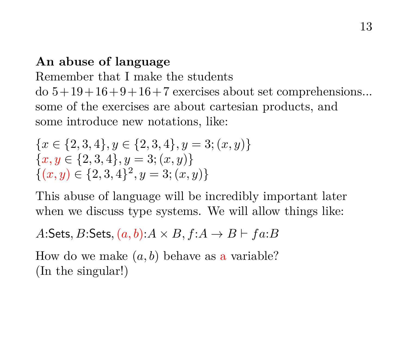# **An abuse of language**

Remember that I make the students

 $\text{do } 5 + 19 + 16 + 9 + 16 + 7$  exercises about set comprehensions... some of the exercises are about cartesian products, and some introduce new notations, like:

$$
\{x \in \{2, 3, 4\}, y \in \{2, 3, 4\}, y = 3; (x, y)\}\
$$

$$
\{x, y \in \{2, 3, 4\}, y = 3; (x, y)\}\
$$

$$
\{(x, y) \in \{2, 3, 4\}^2, y = 3; (x, y)\}\
$$

This abuse of language will be incredibly important later when we discuss type systems. We will allow things like:

## A:Sets, B:Sets,  $(a, b)$ : $A \times B$ ,  $f: A \rightarrow B \vdash fa:B$

How do we make  $(a, b)$  behave as a variable? (In the singular!)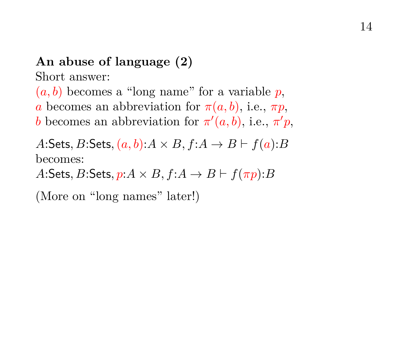# **An abuse of language (2)**

Short answer:

 $(a, b)$  becomes a "long name" for a variable p, a becomes an abbreviation for  $\pi(a, b)$ , i.e.,  $\pi p$ , b becomes an abbreviation for  $\pi'(a, b)$ , i.e.,  $\pi' p$ ,

A:Sets, B:Sets,  $(a, b)$ : $A \times B$ ,  $f: A \rightarrow B \vdash f(a): B$ becomes:

A:Sets, B:Sets,  $p: A \times B$ ,  $f: A \rightarrow B \vdash f(\pi p): B$ 

(More on "long names" later!)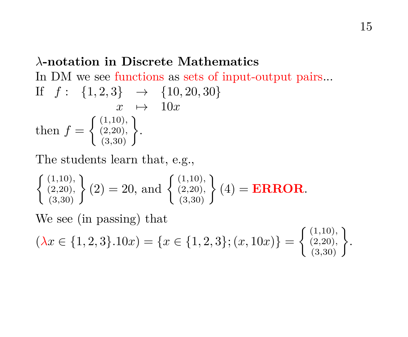# λ**-notation in Discrete Mathematics** In DM we see functions as sets of input-output pairs... If  $f: \{1,2,3\} \rightarrow \{10,20,30\}$  $x \mapsto 10x$ then  $f = \begin{cases} (1,10), \\ (2,20), \end{cases}$  $\left\{ \begin{matrix} (1,10),\ (2,20),\ (3,30) \end{matrix} \right\}.$

The students learn that, e.g.,

$$
\begin{Bmatrix} (1,10), \\ (2,20), \\ (3,30) \end{Bmatrix} (2) = 20, \text{ and } \begin{Bmatrix} (1,10), \\ (2,20), \\ (3,30) \end{Bmatrix} (4) = ERROR.
$$

We see (in passing) that

$$
(\lambda x \in \{1, 2, 3\}.10x) = \{x \in \{1, 2, 3\}; (x, 10x)\} = \left\{\begin{array}{l} (1, 10), \\ (2, 20), \\ (3, 30) \end{array}\right\}.
$$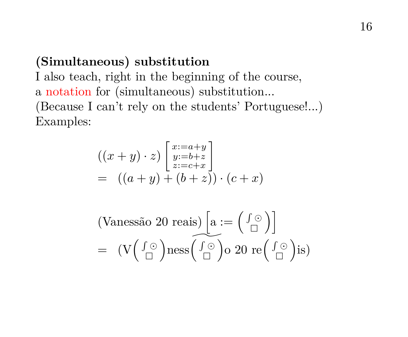#### **(Simultaneous) substitution**

I also teach, right in the beginning of the course, a notation for (simultaneous) substitution... (Because I can't rely on the students' Portuguese!...) Examples:

$$
((x+y)\cdot z)\begin{bmatrix}x:=a+y\\y:=b+z\\z:=c+x\end{bmatrix}
$$
  
=  $((a+y)+(b+z))\cdot(c+x)$ 

(Vanesão 20 reais) 
$$
\left[a := \left(\begin{array}{c} \int \odot \\ \Box \end{array}\right)\right]
$$
  
=  $(V\left(\begin{array}{c} \int \odot \\ \Box \end{array}\right)$ ness  $\left(\begin{array}{c} \int \odot \\ \Box \end{array}\right)$ o 20 re $\left(\begin{array}{c} \int \odot \\ \Box \end{array}\right)$ is)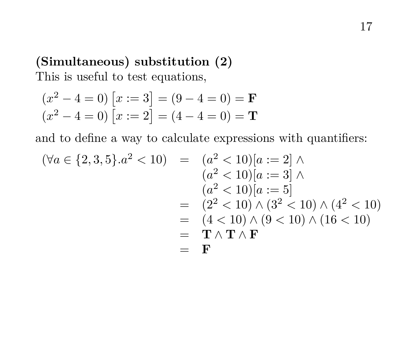# **(Simultaneous) substitution (2)** This is useful to test equations,

$$
(x^2 - 4 = 0)
$$
 [x := 3] = (9 - 4 = 0) = **F**  
(x<sup>2</sup> - 4 = 0) [x := 2] = (4 - 4 = 0) = **T**

and to define a way to calculate expressions with quantifiers:

$$
(\forall a \in \{2, 3, 5\}.a^2 < 10) = (a^2 < 10)[a := 2] \land (a^2 < 10)[a := 3] \land (a^2 < 10)[a := 5] = (2^2 < 10) \land (3^2 < 10) \land (4^2 < 10) = (4 < 10) \land (9 < 10) \land (16 < 10) = \mathbf{T} \land \mathbf{T} \land \mathbf{F} = \mathbf{F}
$$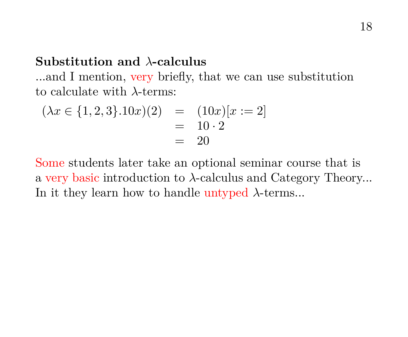#### **Substitution and** λ**-calculus**

...and I mention, very briefly, that we can use substitution to calculate with λ-terms:

$$
(\lambda x \in \{1, 2, 3\}.10x)(2) = (10x)[x := 2]
$$
  
= 10 \cdot 2  
= 20

Some students later take an optional seminar course that is a very basic introduction to λ-calculus and Category Theory... In it they learn how to handle untyped  $\lambda$ -terms...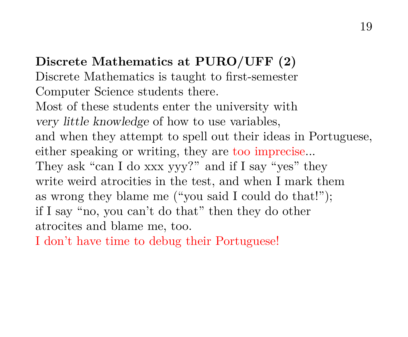**Discrete Mathematics at PURO/UFF (2)** Discrete Mathematics is taught to first-semester Computer Science students there. Most of these students enter the university with very little knowledge of how to use variables, and when they attempt to spell out their ideas in Portuguese, either speaking or writing, they are too imprecise... They ask "can I do xxx yyy?" and if I say "yes" they write weird atrocities in the test, and when I mark them as wrong they blame me ("you said I could do that!"); if I say "no, you can't do that" then they do other atrocites and blame me, too.

I don't have time to debug their Portuguese!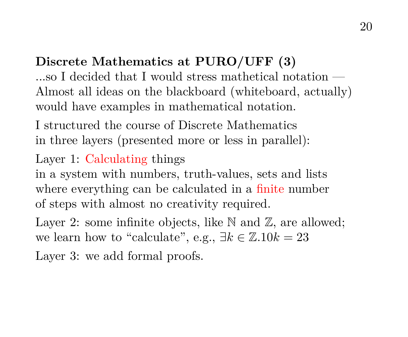# **Discrete Mathematics at PURO/UFF (3)**

...so I decided that I would stress mathetical notation — Almost all ideas on the blackboard (whiteboard, actually) would have examples in mathematical notation.

I structured the course of Discrete Mathematics in three layers (presented more or less in parallel):

# Layer 1: Calculating things

in a system with numbers, truth-values, sets and lists where everything can be calculated in a finite number of steps with almost no creativity required.

Layer 2: some infinite objects, like  $\mathbb N$  and  $\mathbb Z$ , are allowed; we learn how to "calculate", e.g.,  $\exists k \in \mathbb{Z} . 10k = 23$ 

Layer 3: we add formal proofs.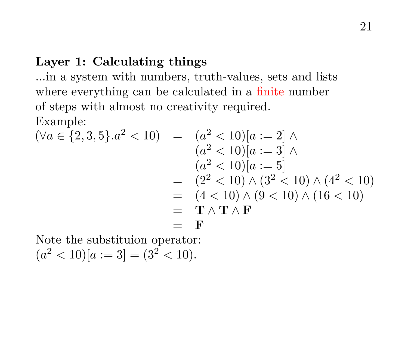### **Layer 1: Calculating things**

...in a system with numbers, truth-values, sets and lists where everything can be calculated in a finite number of steps with almost no creativity required. Example:

$$
(\forall a \in \{2, 3, 5\}.a^2 < 10) = (a^2 < 10)[a := 2] \land (a^2 < 10)[a := 3] \land (a^2 < 10)[a := 5] = (2^2 < 10) \land (3^2 < 10) \land (4^2 < 10) = (4 < 10) \land (9 < 10) \land (16 < 10) = \mathbf{T} \land \mathbf{T} \land \mathbf{F} = \mathbf{F}
$$

Note the substituion operator:  $(a^{2} < 10)[a := 3] = (3^{2} < 10).$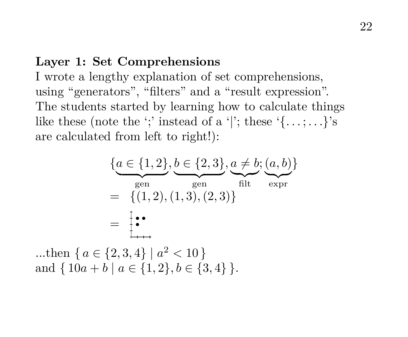#### **Layer 1: Set Comprehensions**

I wrote a lengthy explanation of set comprehensions, using "generators", "filters" and a "result expression". The students started by learning how to calculate things like these (note the ';' instead of a '|'; these  $\{ \ldots, \ldots \}$ 's are calculated from left to right!):

$$
\{a \in \{1, 2\}, b \in \{2, 3\}, a \neq b; (a, b)\}
$$
  
= {(1, 2), (1, 3), (2, 3)}  
= 
$$
\begin{cases} \bullet \\ \bullet \end{cases}
$$

...then  $\{a \in \{2,3,4\} \mid a^2 < 10\}$ and  $\{ 10a + b \mid a \in \{1,2\}, b \in \{3,4\} \}.$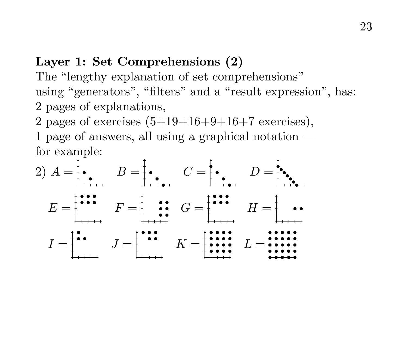#### **Layer 1: Set Comprehensions (2)**

The "lengthy explanation of set comprehensions" using "generators", "filters" and a "result expression", has: 2 pages of explanations,

2 pages of exercises  $(5+19+16+9+16+7$  exercises), 1 page of answers, all using a graphical notation for example:

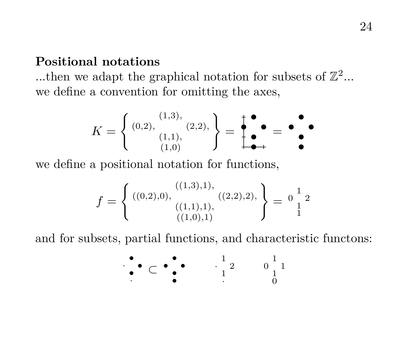#### **Positional notations**

...then we adapt the graphical notation for subsets of  $\mathbb{Z}^2$ ... we define a convention for omitting the axes,

$$
K = \left\{ \begin{array}{c} (0,2), & (2,2), \\ (1,1), & (2,2) \end{array} \right\} = \begin{array}{c} \bullet \\ \bullet \\ \bullet \\ \bullet \end{array} = \begin{array}{c} \bullet \\ \bullet \\ \bullet \end{array} = \begin{array}{c} \bullet \\ \bullet \\ \bullet \end{array}
$$

we define a positional notation for functions,

$$
f = \left\{ \begin{array}{c} ((0,2),0), & ((1,3),1), \\ ((1,1),1), & ((2,2),2), \\ & ((1,0),1) \end{array} \right\} = \begin{array}{c} 1 \\ 1 \\ 1 \end{array}^2
$$

and for subsets, partial functions, and characteristic functons:

$$
\begin{array}{ccccccccc}\n\bullet & & & & & & & & \\
\bullet & & & & & & & & \\
\bullet & & & & & & & & \\
\bullet & & & & & & & & \\
\bullet & & & & & & & & \\
\bullet & & & & & & & & \\
\bullet & & & & & & & & & \\
\bullet & & & & & & & & & \\
\bullet & & & & & & & & & \\
\bullet & & & & & & & & & & \\
\bullet & & & & & & & & & & \\
\bullet & & & & & & & & & & \\
\bullet & & & & & & & & & & \\
\bullet & & & & & & & & & & & \\
\bullet & & & & & & & & & & & \\
\bullet & & & & & & & & & & & \\
\bullet & & & & & & & & & & & & \\
\bullet & & & & & & & & & & & & \\
\bullet & & & & & & & & & & & & \\
\bullet & & & & & & & & & & & & \\
\bullet & & & & & & & & & & & & \\
\bullet & & & & & & & & & & & & \\
\bullet & & & & & & & &
$$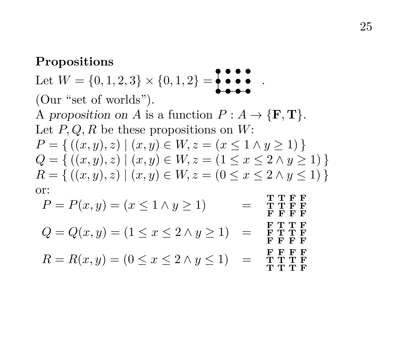#### **Propositions**

Let  $W = \{0, 1, 2, 3\} \times \{0, 1, 2\} = \{$ . (Our "set of worlds"). A proposition on A is a function  $P: A \to {\{F, T\}}$ . Let  $P, Q, R$  be these propositions on W:  $P = \{ ((x, y), z) \mid (x, y) \in W, z = (x \leq 1 \land y \geq 1) \}$  $Q = \{ ((x, y), z) \mid (x, y) \in W, z = (1 \le x \le 2 \land y \ge 1) \}$  $R = \{ ((x, y), z) \mid (x, y) \in W, z = (0 \le x \le 2 \land y \le 1) \}$ or:  $P = P(x, y) = (x \leq 1 \land y \geq 1)$ T T F F F F F F

$$
Q = Q(x, y) = (1 \leq x \leq 2 \land y \geq 1) = \begin{array}{c} \textbf{F} \textbf{T} \textbf{T} \textbf{F} \\ \textbf{F} \textbf{T} \textbf{T} \textbf{F} \\ \textbf{F} \textbf{F} \textbf{F} \textbf{F} \end{array}
$$

$$
R = R(x, y) = (0 \le x \le 2 \land y \le 1) = \begin{array}{c} \text{F} \text{ F} \text{ F} \\ \text{T} \text{T} \text{T} \text{ F} \\ \text{T} \text{T} \text{T} \text{ F} \end{array}
$$

 $\bar{\mathbf{F}}$   $\bar{\mathbf{F}}$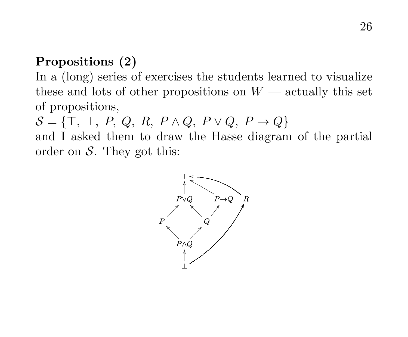# **Propositions (2)**

In a (long) series of exercises the students learned to visualize these and lots of other propositions on  $W$  — actually this set of propositions,

 $S = \{\top, \perp, P, Q, R, P \wedge Q, P \vee Q, P \rightarrow Q\}$ 

and I asked them to draw the Hasse diagram of the partial order on  $S$ . They got this:

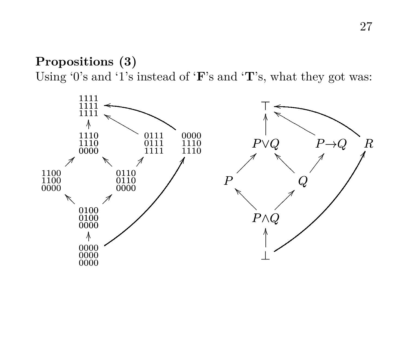# **Propositions (3)** Using '0's and '1's instead of 'F's and 'T's, what they got was:

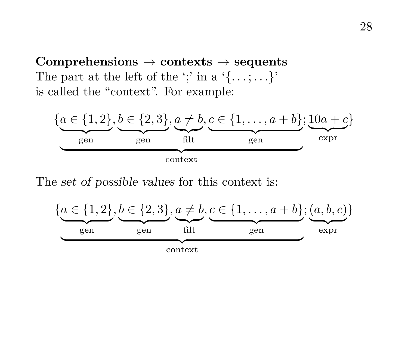**Comprehensions** → **contexts** → **sequents** The part at the left of the ';' in a ' $\{ \ldots; \ldots \}'$ ' is called the "context". For example:



The set of possible values for this context is:

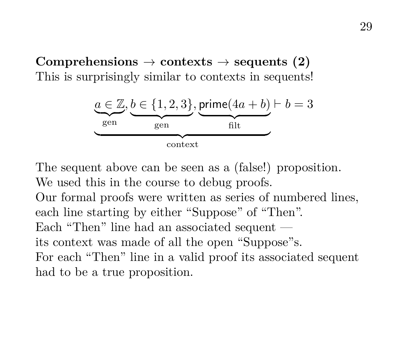$\text{Comprehensions} \rightarrow \text{contexts} \rightarrow \text{sequences} (2)$ This is surprisingly similar to contexts in sequents!



The sequent above can be seen as a (false!) proposition. We used this in the course to debug proofs.

Our formal proofs were written as series of numbered lines, each line starting by either "Suppose" of "Then". Each "Then" line had an associated sequent its context was made of all the open "Suppose"s. For each "Then" line in a valid proof its associated sequent had to be a true proposition.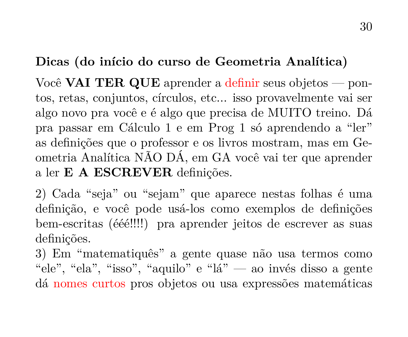## **Dicas (do início do curso de Geometria Analítica)**

Você **VAI TER QUE** aprender a definir seus objetos — pontos, retas, conjuntos, círculos, etc... isso provavelmente vai ser algo novo pra você e é algo que precisa de MUITO treino. Dá pra passar em Cálculo 1 e em Prog 1 só aprendendo a "ler" as definições que o professor e os livros mostram, mas em Geometria Analítica NÃO DÁ, em GA você vai ter que aprender a ler **E A ESCREVER** definições.

2) Cada "seja" ou "sejam" que aparece nestas folhas é uma definição, e você pode usá-los como exemplos de definições bem-escritas (ééé!!!!) pra aprender jeitos de escrever as suas definições.

3) Em "matematiquês" a gente quase não usa termos como "ele", "ela", "isso", "aquilo" e "lá" — ao invés disso a gente dá nomes curtos pros objetos ou usa expressões matemáticas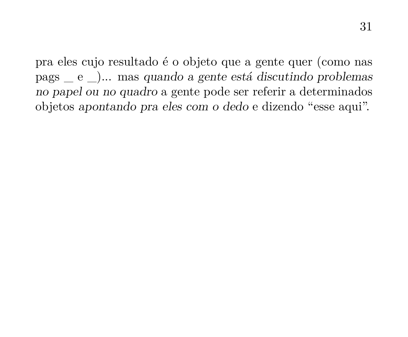pra eles cujo resultado é o objeto que a gente quer (como nas pags \_ e \_)... mas quando a gente está discutindo problemas no papel ou no quadro a gente pode ser referir a determinados objetos apontando pra eles com o dedo e dizendo "esse aqui".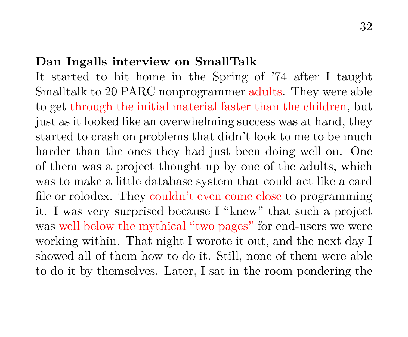#### **Dan Ingalls interview on SmallTalk**

It started to hit home in the Spring of '74 after I taught Smalltalk to 20 PARC nonprogrammer adults. They were able to get through the initial material faster than the children, but just as it looked like an overwhelming success was at hand, they started to crash on problems that didn't look to me to be much harder than the ones they had just been doing well on. One of them was a project thought up by one of the adults, which was to make a little database system that could act like a card file or rolodex. They couldn't even come close to programming it. I was very surprised because I "knew" that such a project was well below the mythical "two pages" for end-users we were working within. That night I worote it out, and the next day I showed all of them how to do it. Still, none of them were able to do it by themselves. Later, I sat in the room pondering the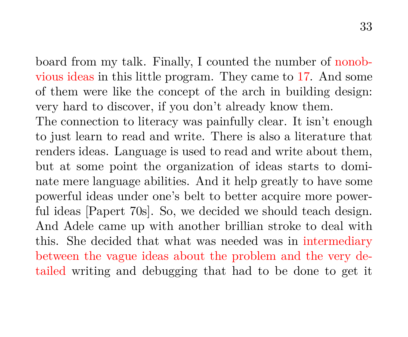board from my talk. Finally, I counted the number of nonobvious ideas in this little program. They came to 17. And some of them were like the concept of the arch in building design: very hard to discover, if you don't already know them.

The connection to literacy was painfully clear. It isn't enough to just learn to read and write. There is also a literature that renders ideas. Language is used to read and write about them, but at some point the organization of ideas starts to dominate mere language abilities. And it help greatly to have some powerful ideas under one's belt to better acquire more powerful ideas [Papert 70s]. So, we decided we should teach design. And Adele came up with another brillian stroke to deal with this. She decided that what was needed was in intermediary between the vague ideas about the problem and the very detailed writing and debugging that had to be done to get it